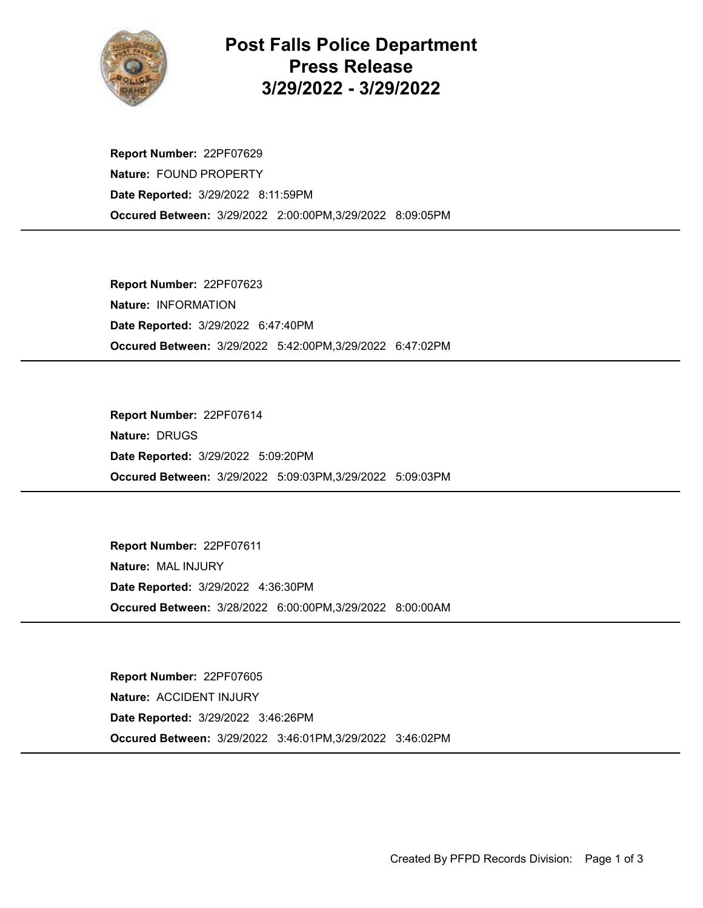

## Post Falls Police Department Press Release 3/29/2022 - 3/29/2022

Occured Between: 3/29/2022 2:00:00PM,3/29/2022 8:09:05PM Report Number: 22PF07629 Nature: FOUND PROPERTY Date Reported: 3/29/2022 8:11:59PM

Occured Between: 3/29/2022 5:42:00PM,3/29/2022 6:47:02PM Report Number: 22PF07623 Nature: INFORMATION Date Reported: 3/29/2022 6:47:40PM

Occured Between: 3/29/2022 5:09:03PM,3/29/2022 5:09:03PM Report Number: 22PF07614 Nature: DRUGS Date Reported: 3/29/2022 5:09:20PM

Occured Between: 3/28/2022 6:00:00PM,3/29/2022 8:00:00AM Report Number: 22PF07611 Nature: MAL INJURY Date Reported: 3/29/2022 4:36:30PM

Occured Between: 3/29/2022 3:46:01PM,3/29/2022 3:46:02PM Report Number: 22PF07605 Nature: ACCIDENT INJURY Date Reported: 3/29/2022 3:46:26PM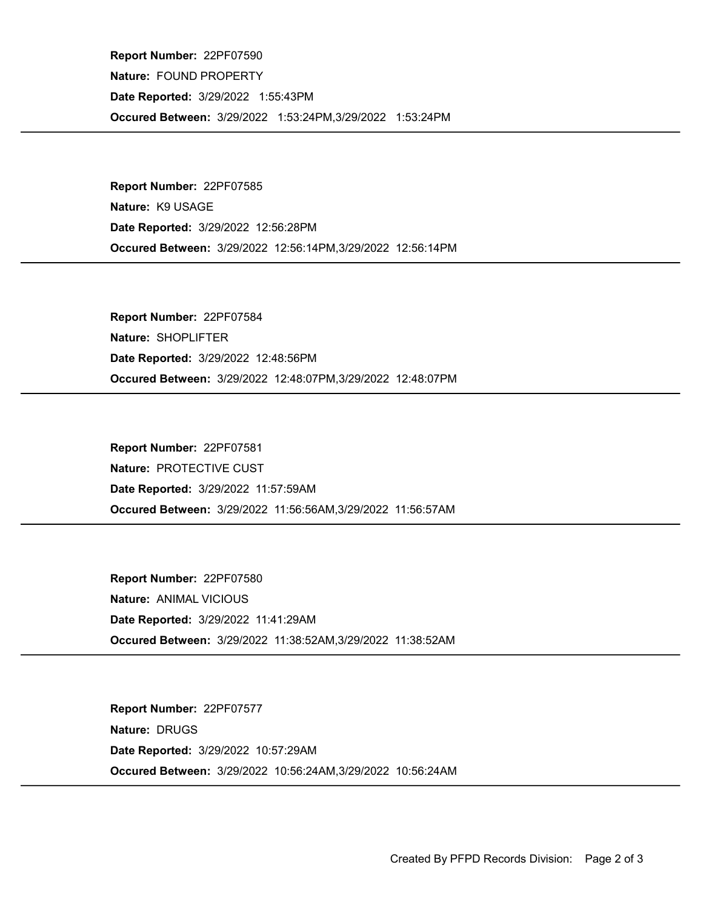Occured Between: 3/29/2022 1:53:24PM,3/29/2022 1:53:24PM Report Number: 22PF07590 Nature: FOUND PROPERTY Date Reported: 3/29/2022 1:55:43PM

Occured Between: 3/29/2022 12:56:14PM,3/29/2022 12:56:14PM Report Number: 22PF07585 Nature: K9 USAGE Date Reported: 3/29/2022 12:56:28PM

Occured Between: 3/29/2022 12:48:07PM,3/29/2022 12:48:07PM Report Number: 22PF07584 Nature: SHOPLIFTER Date Reported: 3/29/2022 12:48:56PM

Occured Between: 3/29/2022 11:56:56AM,3/29/2022 11:56:57AM Report Number: 22PF07581 Nature: PROTECTIVE CUST Date Reported: 3/29/2022 11:57:59AM

Occured Between: 3/29/2022 11:38:52AM,3/29/2022 11:38:52AM Report Number: 22PF07580 Nature: ANIMAL VICIOUS Date Reported: 3/29/2022 11:41:29AM

Occured Between: 3/29/2022 10:56:24AM,3/29/2022 10:56:24AM Report Number: 22PF07577 Nature: DRUGS Date Reported: 3/29/2022 10:57:29AM